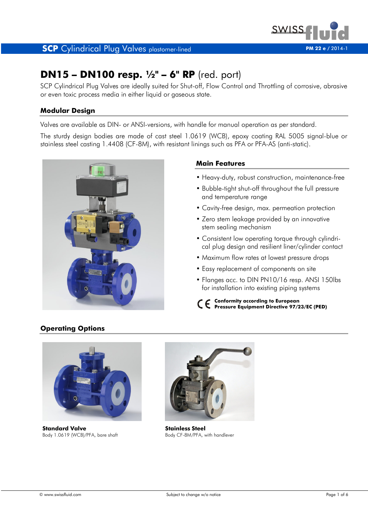

# **DN15 – DN100 resp. ½" – 6" RP** (red. port)

SCP Cylindrical Plug Valves are ideally suited for Shut-off, Flow Control and Throttling of corrosive, abrasive or even toxic process media in either liquid or gaseous state.

## **Modular Design**

Valves are available as DIN- or ANSI-versions, with handle for manual operation as per standard.

The sturdy design bodies are made of cast steel 1.0619 (WCB), epoxy coating RAL 5005 signal-blue or stainless steel casting 1.4408 (CF-8M), with resistant linings such as PFA or PFA-AS (anti-static).



## **Main Features**

- Heavy-duty, robust construction, maintenance-free
- Bubble-tight shut-off throughout the full pressure and temperature range
- Cavity-free design, max. permeation protection
- Zero stem leakage provided by an innovative stem sealing mechanism
- Consistent low operating torque through cylindri cal plug design and resilient liner/cylinder contact
- Maximum flow rates at lowest pressure drops
- Easy replacement of components on site
- Flanges acc. to DIN PN10/16 resp. ANSI 150lbs for installation into existing piping systems
- **Conformity according to European Pressure Equipment Directive 97/23/EC (PED)**

# **Operating Options**



**Standard Valve** Body 1.0619 (WCB)/PFA, bare shaft



**Stainless Steel** Body CF-8M/PFA, with handlever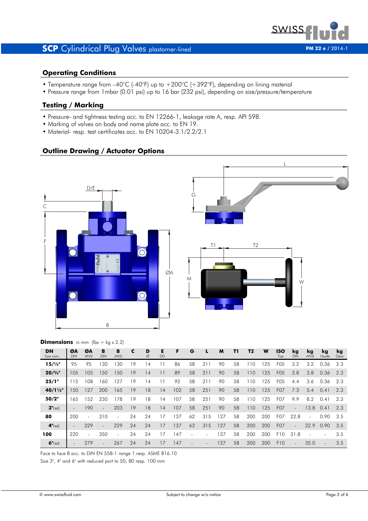

## **Operating Conditions**

- Temperature range from -40°C (-40°F) up to +200°C (+392°F), depending on lining material
- Pressure range from 1mbar (0.01 psi) up to 16 bar (232 psi), depending on size/pressure/temperature

# **Testing / Marking**

- Pressure- and tightness testing acc. to EN 12266-1, leakage rate A, resp. API 598.
- Marking of valves on body and name plate acc. to EN 19.
- Material- resp. test certificates acc. to EN 10204-3.1/2.2/2.1

## **Outline Drawing / Actuator Options**





#### **Dimensions** in mm (lbs =  $kg \times 2.2$ )

| <b>DN</b><br>Size nom. | ØA<br>DIN                | ØΑ<br><b>ANSI</b> | в<br><b>DIN</b> | B<br><b>ANSI</b>         | C  | D<br>Ø | Е<br><b>DD</b> | F   | G                        |                          | M   | T1 | T2  | W   | ISO<br>Top       | kg<br><b>DIN</b> | kq<br><b>ANSI</b> | kg<br>Handle | kg<br>Gear |
|------------------------|--------------------------|-------------------|-----------------|--------------------------|----|--------|----------------|-----|--------------------------|--------------------------|-----|----|-----|-----|------------------|------------------|-------------------|--------------|------------|
| $15/\frac{1}{2}$ "     | 95                       | 95                | 130             | 130                      | 19 | 14     |                | 86  | 58                       | 211                      | 90  | 58 | 110 | 125 | F <sub>05</sub>  | 3.2              | 3.2               | 0.36         | 2.3        |
| $20/^{3}/_{4}$ "       | 105                      | 105               | 150             | 150                      | 19 | 14     | 11             | 89  | 58                       | 211                      | 90  | 58 | 110 | 125 | F <sub>05</sub>  | 3.8              | 3.8               | 0.36         | 2.3        |
| 25/1"                  | 115                      | 108               | 160             | 127                      | 19 | 14     |                | 92  | 58                       | 211                      | 90  | 58 | 110 | 125 | F <sub>05</sub>  | 4.4              | 3.6               | 0.36         | 2.3        |
| $40/1\frac{1}{2}$ "    | 150                      | 127               | 200             | 165                      | 19 | 18     | 14             | 102 | 58                       | 251                      | 90  | 58 | 110 | 125 | F07              | 7.3              | 5.4               | 0.41         | 2.3        |
| 50/2"                  | 165                      | 152               | 230             | 178                      | 19 | 18     | 14             | 107 | 58                       | 251                      | 90  | 58 | 110 | 125 | F <sub>0</sub> 7 | 9.9              | 8.2               | 0.41         | 2.3        |
| $3"$ red.              | $\overline{\phantom{a}}$ | 190               | $\sim$          | 203                      | 19 | 18     | 14             | 107 | 58                       | 251                      | 90  | 58 | 110 | 125 | F <sub>0</sub> 7 | $\sim$           | 13.8              | 0.41         | 2.3        |
| 80                     | 200                      | $\sim$            | 310             | $\overline{\phantom{a}}$ | 24 | 24     | 17             | 137 | 62                       | 315                      | 127 | 58 | 200 | 200 | F07              | 22.8             | $\sim$            | 0.90         | 3.5        |
| $4"$ red.              | $\overline{\phantom{a}}$ | 229               | $\overline{a}$  | 229                      | 24 | 24     | 17             | 137 | 62                       | 315                      | 127 | 58 | 200 | 200 | F07              | $\sim$           | 22.9              | 0.90         | 3.5        |
| 100                    | 220                      | $\sim$            | 350             | $\overline{\phantom{a}}$ | 24 | 24     | 17             | 147 | $\overline{\phantom{0}}$ | $\overline{\phantom{a}}$ | 127 | 58 | 200 | 200 | F10              | 31.8             |                   |              | 3.5        |
| $6"$ red.              | $\overline{\phantom{a}}$ | 279               | $\sim$          | 267                      | 24 | 24     | 17             | 147 |                          |                          | 127 | 58 | 200 | 200 | F <sub>10</sub>  | $\blacksquare$   | 35.0              |              | 3.5        |

Face to face B acc. to DIN EN 558-1 range 1 resp. ASME B16.10

Size 3", 4" and 6" with reduced port to 50, 80 resp. 100 mm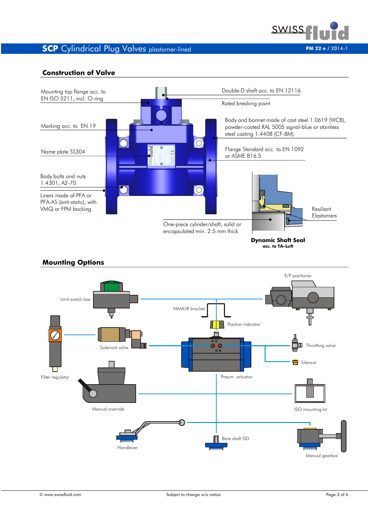

### **Construction of Valve**



Handlever Bare shaft DD Manual override

Filter regulator

Pneum. actuator

Manual gearbox

ISO mounting kit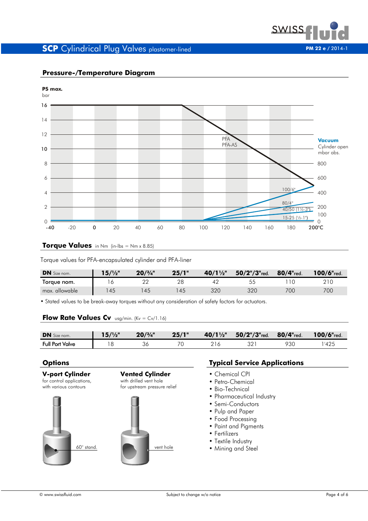



# **Pressure-/Temperature Diagram**

#### **Torque Values** in Nm (in-lbs = Nm x 8.85)

Torque values for PFA-encapsulated cylinder and PFA-liner

| <b>DN</b> Size nom. | 1/2     | 20/3/4" | 25/1" | $40/1\frac{1}{2}$ " | $50/2$ "/ $3$ "red. | $80/4$ "red. | $100/6$ "red. |
|---------------------|---------|---------|-------|---------------------|---------------------|--------------|---------------|
| Torque nom.         | $\circ$ |         |       |                     | 55<br>〜〜            |              |               |
| max. allowable      | 45      | 45      | 45    | 320                 | 320                 | 700          | 700           |

• Stated values to be break-away torques without any consideration of safety factors for actuators.

## **Flow Rate Values Cv** usg/min. (Kv = Cv/1.16)

| <b>DN</b> Size nom.    | 11/m | 20/3/4" | 25/1" | $40/1\frac{1}{2}$ | $50/2$ "/3" $_{red.}$ | $80/4$ "red. | 100/6"red.  |
|------------------------|------|---------|-------|-------------------|-----------------------|--------------|-------------|
| <b>Full Port Valve</b> |      | ◡       |       |                   | הה                    | 93C          | '42 $\cdot$ |



## **Options Typical Service Applications**

- 
- Petro-Chemical
- Bio-Technical
- Pharmaceutical Industry
- Semi-Conductors
- Pulp and Paper
- Food Processing
- Paint and Pigments
- Fertilizers
- Textile Industry
- Mining and Steel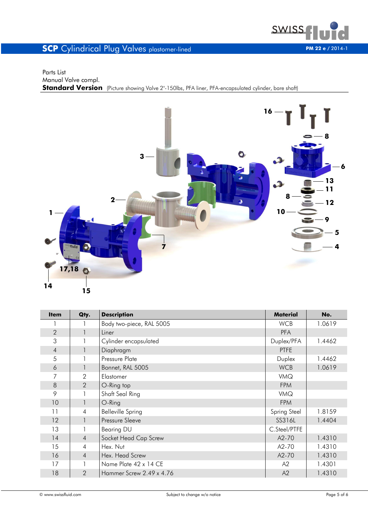

#### Parts List Manual Valve compl. **Standard Version** (Picture showing Valve 2"-150lbs, PFA liner, PFA-encapsulated cylinder, bare shaft)



| <b>Item</b>    | Qty.           | <b>Description</b>       | <b>Material</b> | No.    |
|----------------|----------------|--------------------------|-----------------|--------|
|                |                | Body two-piece, RAL 5005 | <b>WCB</b>      | 1.0619 |
| $\overline{2}$ | 1              | Liner                    | <b>PFA</b>      |        |
| 3              |                | Cylinder encapsulated    | Duplex/PFA      | 1.4462 |
| $\overline{4}$ | 1              | Diaphragm                | <b>PTFE</b>     |        |
| 5              |                | Pressure Plate           | Duplex          | 1.4462 |
| 6              | 1              | Bonnet, RAL 5005         | <b>WCB</b>      | 1.0619 |
| 7              | $\overline{2}$ | <b>Elastomer</b>         | <b>VMQ</b>      |        |
| 8              | 2              | O-Ring top               | <b>FPM</b>      |        |
| 9              |                | Shaft Seal Ring          | <b>VMQ</b>      |        |
| 10             |                | O-Ring                   | <b>FPM</b>      |        |
| 11             | $\overline{4}$ | <b>Belleville Spring</b> | Spring Steel    | 1.8159 |
| 12             |                | Pressure Sleeve          | SS316L          | 1.4404 |
| 13             |                | Bearing DU               | C.Steel/PTFE    |        |
| 14             | $\overline{4}$ | Socket Head Cap Screw    | A2-70           | 1.4310 |
| 15             | $\overline{4}$ | Hex. Nut                 | A2-70           | 1.4310 |
| 16             | $\overline{4}$ | Hex. Head Screw          | $A2-70$         | 1.4310 |
| 17             |                | Name Plate 42 x 14 CE    | A2              | 1.4301 |
| 18             | $\mathcal{P}$  | Hammer Screw 2.49 x 4.76 | A2              | 1.4310 |